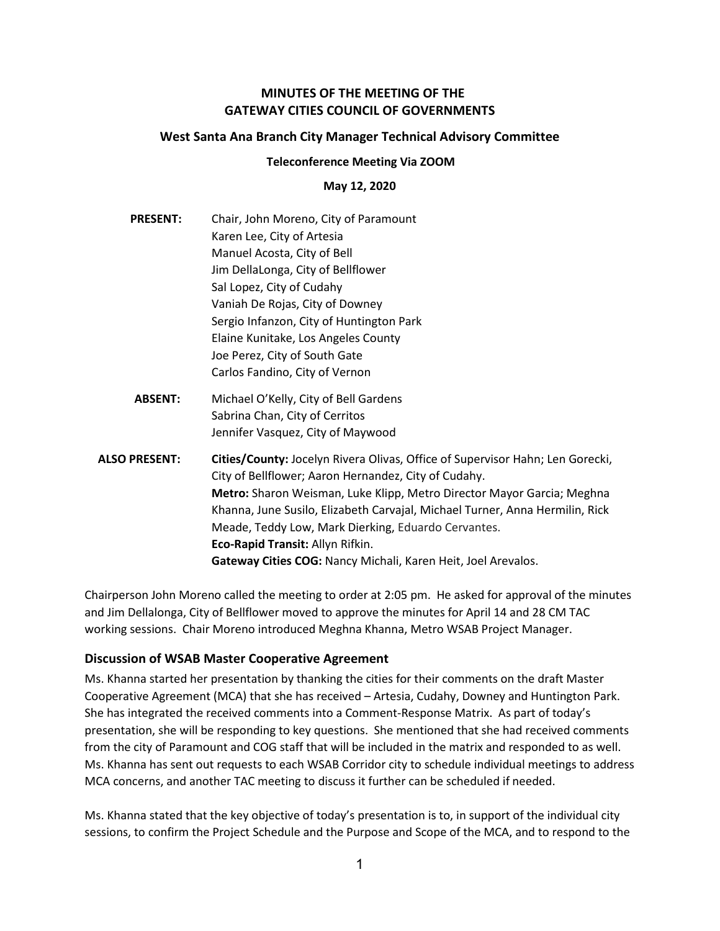# **MINUTES OF THE MEETING OF THE GATEWAY CITIES COUNCIL OF GOVERNMENTS**

## **West Santa Ana Branch City Manager Technical Advisory Committee**

### **Teleconference Meeting Via ZOOM**

### **May 12, 2020**

- **PRESENT:** Chair, John Moreno, City of Paramount Karen Lee, City of Artesia Manuel Acosta, City of Bell Jim DellaLonga, City of Bellflower Sal Lopez, City of Cudahy Vaniah De Rojas, City of Downey Sergio Infanzon, City of Huntington Park Elaine Kunitake, Los Angeles County Joe Perez, City of South Gate Carlos Fandino, City of Vernon
- **ABSENT:** Michael O'Kelly, City of Bell Gardens Sabrina Chan, City of Cerritos Jennifer Vasquez, City of Maywood
- **ALSO PRESENT: Cities/County:** Jocelyn Rivera Olivas, Office of Supervisor Hahn; Len Gorecki, City of Bellflower; Aaron Hernandez, City of Cudahy. **Metro:** Sharon Weisman, Luke Klipp, Metro Director Mayor Garcia; Meghna Khanna, June Susilo, Elizabeth Carvajal, Michael Turner, Anna Hermilin, Rick Meade, Teddy Low, Mark Dierking, Eduardo Cervantes. **Eco-Rapid Transit:** Allyn Rifkin. **Gateway Cities COG:** Nancy Michali, Karen Heit, Joel Arevalos.

Chairperson John Moreno called the meeting to order at 2:05 pm. He asked for approval of the minutes and Jim Dellalonga, City of Bellflower moved to approve the minutes for April 14 and 28 CM TAC working sessions. Chair Moreno introduced Meghna Khanna, Metro WSAB Project Manager.

## **Discussion of WSAB Master Cooperative Agreement**

Ms. Khanna started her presentation by thanking the cities for their comments on the draft Master Cooperative Agreement (MCA) that she has received – Artesia, Cudahy, Downey and Huntington Park. She has integrated the received comments into a Comment-Response Matrix. As part of today's presentation, she will be responding to key questions. She mentioned that she had received comments from the city of Paramount and COG staff that will be included in the matrix and responded to as well. Ms. Khanna has sent out requests to each WSAB Corridor city to schedule individual meetings to address MCA concerns, and another TAC meeting to discuss it further can be scheduled if needed.

Ms. Khanna stated that the key objective of today's presentation is to, in support of the individual city sessions, to confirm the Project Schedule and the Purpose and Scope of the MCA, and to respond to the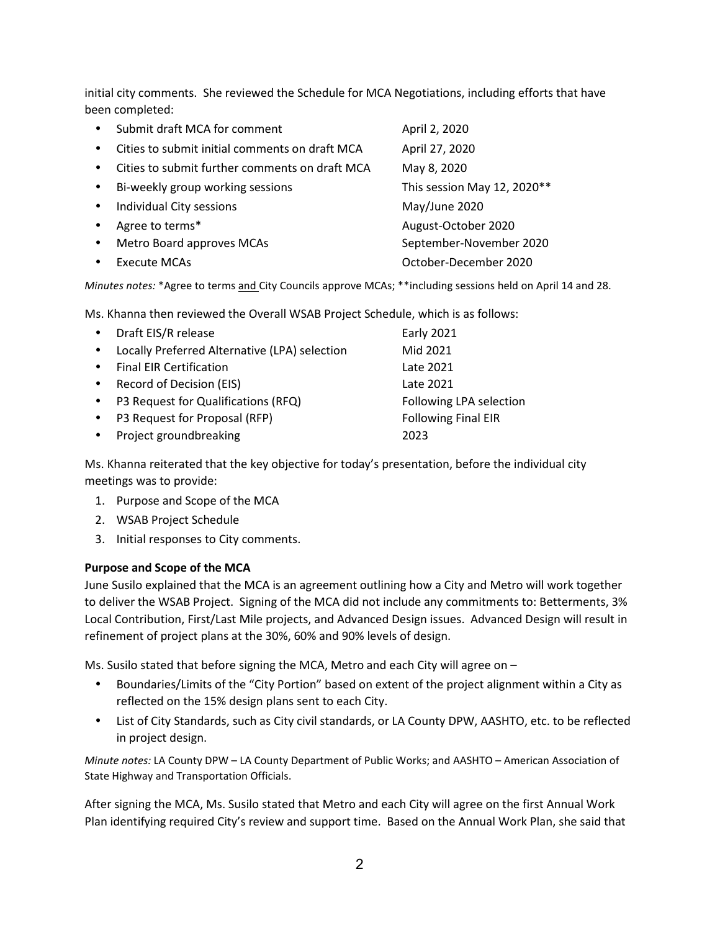initial city comments. She reviewed the Schedule for MCA Negotiations, including efforts that have been completed:

|           | Submit draft MCA for comment                   | April 2, 2020               |
|-----------|------------------------------------------------|-----------------------------|
| $\bullet$ | Cities to submit initial comments on draft MCA | April 27, 2020              |
| $\bullet$ | Cities to submit further comments on draft MCA | May 8, 2020                 |
| $\bullet$ | Bi-weekly group working sessions               | This session May 12, 2020** |
| $\bullet$ | Individual City sessions                       | May/June 2020               |
| $\bullet$ | Agree to terms*                                | August-October 2020         |
| $\bullet$ | Metro Board approves MCAs                      | September-November 2020     |
|           | Execute MCAs                                   | October-December 2020       |

*Minutes notes:* \*Agree to terms and City Councils approve MCAs; \*\*including sessions held on April 14 and 28.

Ms. Khanna then reviewed the Overall WSAB Project Schedule, which is as follows:

|           | • Draft EIS/R release                         | <b>Early 2021</b>          |
|-----------|-----------------------------------------------|----------------------------|
|           | Locally Preferred Alternative (LPA) selection | Mid 2021                   |
|           | <b>Final EIR Certification</b>                | Late 2021                  |
| $\bullet$ | Record of Decision (EIS)                      | Late 2021                  |
|           | P3 Request for Qualifications (RFQ)           | Following LPA selection    |
|           | P3 Request for Proposal (RFP)                 | <b>Following Final EIR</b> |
|           | Project groundbreaking                        | 2023                       |

Ms. Khanna reiterated that the key objective for today's presentation, before the individual city meetings was to provide:

- 1. Purpose and Scope of the MCA
- 2. WSAB Project Schedule
- 3. Initial responses to City comments.

## **Purpose and Scope of the MCA**

June Susilo explained that the MCA is an agreement outlining how a City and Metro will work together to deliver the WSAB Project. Signing of the MCA did not include any commitments to: Betterments, 3% Local Contribution, First/Last Mile projects, and Advanced Design issues. Advanced Design will result in refinement of project plans at the 30%, 60% and 90% levels of design.

Ms. Susilo stated that before signing the MCA, Metro and each City will agree on –

- Boundaries/Limits of the "City Portion" based on extent of the project alignment within a City as reflected on the 15% design plans sent to each City.
- List of City Standards, such as City civil standards, or LA County DPW, AASHTO, etc. to be reflected in project design.

*Minute notes:* LA County DPW – LA County Department of Public Works; and AASHTO – American Association of State Highway and Transportation Officials.

After signing the MCA, Ms. Susilo stated that Metro and each City will agree on the first Annual Work Plan identifying required City's review and support time. Based on the Annual Work Plan, she said that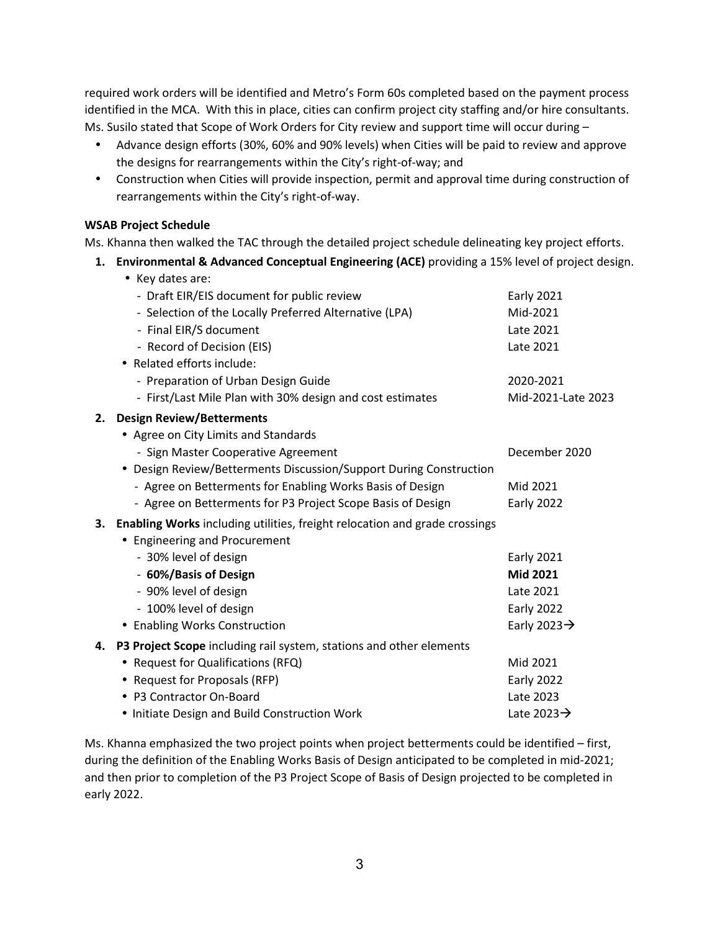required work orders will be identified and Metro's Form 60s completed based on the payment process identified in the MCA. With this in place, cities can confirm project city staffing and/or hire consultants. Ms. Susilo stated that Scope of Work Orders for City review and support time will occur during –

- Advance design efforts (30%, 60% and 90% levels) when Cities will be paid to review and approve the designs for rearrangements within the City's right-of-way; and
- Construction when Cities will provide inspection, permit and approval time during construction of rearrangements within the City's right-of-way.

## **WSAB Project Schedule**

Ms. Khanna then walked the TAC through the detailed project schedule delineating key project efforts.

**1. Environmental & Advanced Conceptual Engineering (ACE)** providing a 15% level of project design.

|    | • Key dates are:                                                                  |                          |
|----|-----------------------------------------------------------------------------------|--------------------------|
|    | - Draft EIR/EIS document for public review                                        | <b>Early 2021</b>        |
|    | - Selection of the Locally Preferred Alternative (LPA)                            | Mid-2021                 |
|    | - Final EIR/S document                                                            | Late 2021                |
|    | - Record of Decision (EIS)                                                        | Late 2021                |
|    | • Related efforts include:                                                        |                          |
|    | - Preparation of Urban Design Guide                                               | 2020-2021                |
|    | - First/Last Mile Plan with 30% design and cost estimates                         | Mid-2021-Late 2023       |
| 2. | <b>Design Review/Betterments</b>                                                  |                          |
|    | • Agree on City Limits and Standards                                              |                          |
|    | - Sign Master Cooperative Agreement                                               | December 2020            |
|    | • Design Review/Betterments Discussion/Support During Construction                |                          |
|    | - Agree on Betterments for Enabling Works Basis of Design                         | Mid 2021                 |
|    | - Agree on Betterments for P3 Project Scope Basis of Design                       | Early 2022               |
| 3. | <b>Enabling Works</b> including utilities, freight relocation and grade crossings |                          |
|    | • Engineering and Procurement                                                     |                          |
|    | - 30% level of design                                                             | <b>Early 2021</b>        |
|    | - 60%/Basis of Design                                                             | Mid 2021                 |
|    | - 90% level of design                                                             | Late 2021                |
|    | - 100% level of design                                                            | Early 2022               |
|    | • Enabling Works Construction                                                     | Early 2023 $\rightarrow$ |
| 4. | P3 Project Scope including rail system, stations and other elements               |                          |
|    | • Request for Qualifications (RFQ)                                                | Mid 2021                 |
|    | • Request for Proposals (RFP)                                                     | <b>Early 2022</b>        |
|    | • P3 Contractor On-Board                                                          | Late 2023                |
|    | . Initiate Design and Build Construction Work                                     | Late 2023 $\rightarrow$  |

Ms. Khanna emphasized the two project points when project betterments could be identified – first, during the definition of the Enabling Works Basis of Design anticipated to be completed in mid-2021; and then prior to completion of the P3 Project Scope of Basis of Design projected to be completed in early 2022.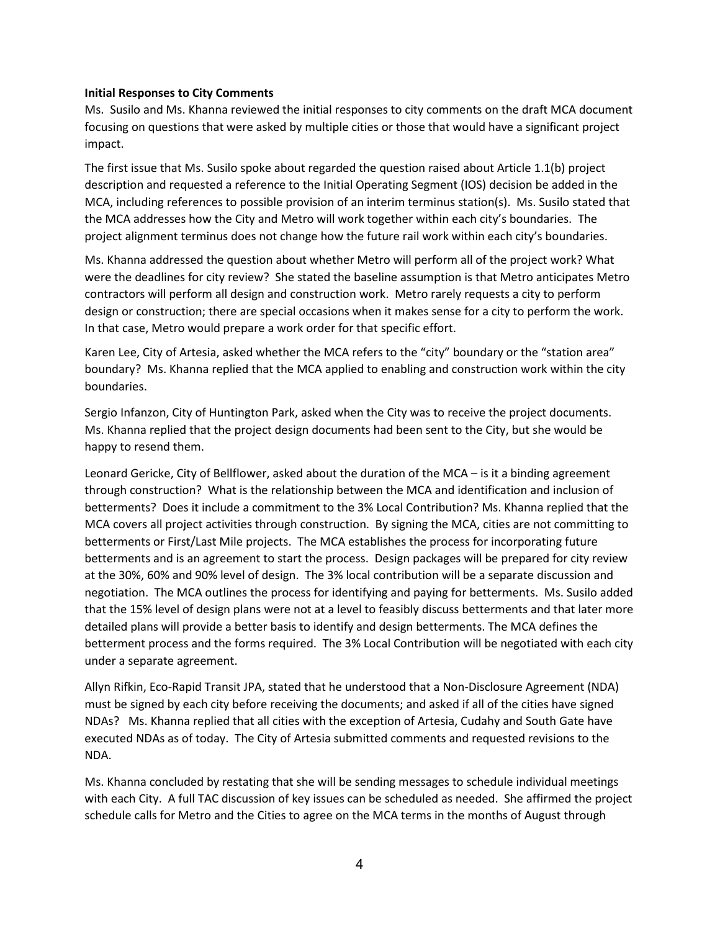#### **Initial Responses to City Comments**

Ms. Susilo and Ms. Khanna reviewed the initial responses to city comments on the draft MCA document focusing on questions that were asked by multiple cities or those that would have a significant project impact.

The first issue that Ms. Susilo spoke about regarded the question raised about Article 1.1(b) project description and requested a reference to the Initial Operating Segment (IOS) decision be added in the MCA, including references to possible provision of an interim terminus station(s). Ms. Susilo stated that the MCA addresses how the City and Metro will work together within each city's boundaries. The project alignment terminus does not change how the future rail work within each city's boundaries.

Ms. Khanna addressed the question about whether Metro will perform all of the project work? What were the deadlines for city review? She stated the baseline assumption is that Metro anticipates Metro contractors will perform all design and construction work. Metro rarely requests a city to perform design or construction; there are special occasions when it makes sense for a city to perform the work. In that case, Metro would prepare a work order for that specific effort.

Karen Lee, City of Artesia, asked whether the MCA refers to the "city" boundary or the "station area" boundary? Ms. Khanna replied that the MCA applied to enabling and construction work within the city boundaries.

Sergio Infanzon, City of Huntington Park, asked when the City was to receive the project documents. Ms. Khanna replied that the project design documents had been sent to the City, but she would be happy to resend them.

Leonard Gericke, City of Bellflower, asked about the duration of the MCA – is it a binding agreement through construction? What is the relationship between the MCA and identification and inclusion of betterments? Does it include a commitment to the 3% Local Contribution? Ms. Khanna replied that the MCA covers all project activities through construction. By signing the MCA, cities are not committing to betterments or First/Last Mile projects. The MCA establishes the process for incorporating future betterments and is an agreement to start the process. Design packages will be prepared for city review at the 30%, 60% and 90% level of design. The 3% local contribution will be a separate discussion and negotiation. The MCA outlines the process for identifying and paying for betterments. Ms. Susilo added that the 15% level of design plans were not at a level to feasibly discuss betterments and that later more detailed plans will provide a better basis to identify and design betterments. The MCA defines the betterment process and the forms required. The 3% Local Contribution will be negotiated with each city under a separate agreement.

Allyn Rifkin, Eco-Rapid Transit JPA, stated that he understood that a Non-Disclosure Agreement (NDA) must be signed by each city before receiving the documents; and asked if all of the cities have signed NDAs? Ms. Khanna replied that all cities with the exception of Artesia, Cudahy and South Gate have executed NDAs as of today. The City of Artesia submitted comments and requested revisions to the NDA.

Ms. Khanna concluded by restating that she will be sending messages to schedule individual meetings with each City. A full TAC discussion of key issues can be scheduled as needed. She affirmed the project schedule calls for Metro and the Cities to agree on the MCA terms in the months of August through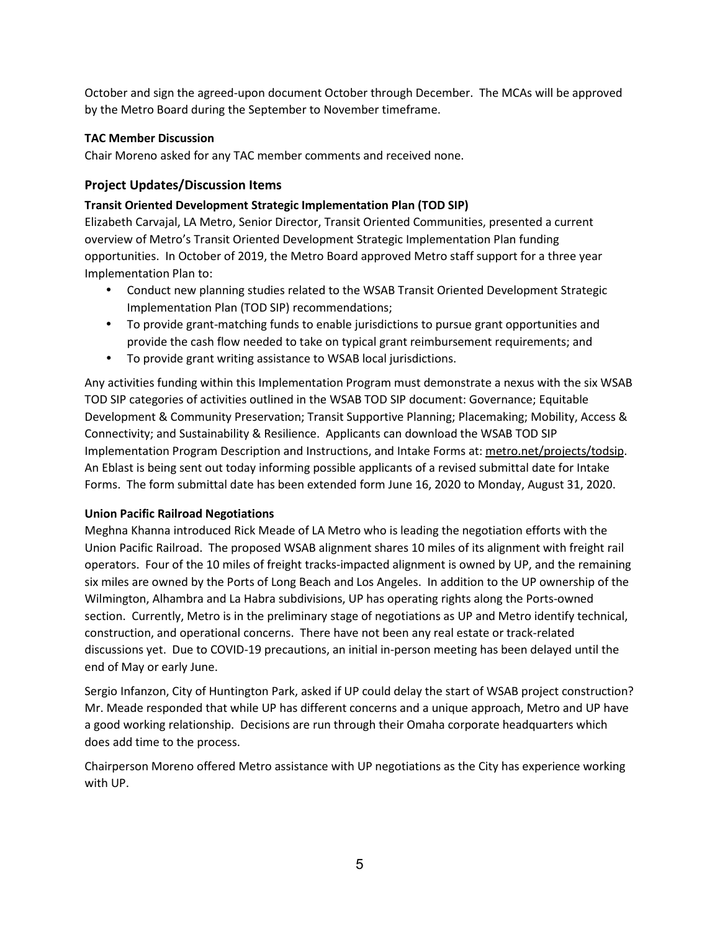October and sign the agreed-upon document October through December. The MCAs will be approved by the Metro Board during the September to November timeframe.

## **TAC Member Discussion**

Chair Moreno asked for any TAC member comments and received none.

# **Project Updates/Discussion Items**

## **Transit Oriented Development Strategic Implementation Plan (TOD SIP)**

Elizabeth Carvajal, LA Metro, Senior Director, Transit Oriented Communities, presented a current overview of Metro's Transit Oriented Development Strategic Implementation Plan funding opportunities. In October of 2019, the Metro Board approved Metro staff support for a three year Implementation Plan to:

- Conduct new planning studies related to the WSAB Transit Oriented Development Strategic Implementation Plan (TOD SIP) recommendations;
- To provide grant-matching funds to enable jurisdictions to pursue grant opportunities and provide the cash flow needed to take on typical grant reimbursement requirements; and
- To provide grant writing assistance to WSAB local jurisdictions.

Any activities funding within this Implementation Program must demonstrate a nexus with the six WSAB TOD SIP categories of activities outlined in the WSAB TOD SIP document: Governance; Equitable Development & Community Preservation; Transit Supportive Planning; Placemaking; Mobility, Access & Connectivity; and Sustainability & Resilience. Applicants can download the WSAB TOD SIP Implementation Program Description and Instructions, and Intake Forms at: metro.net/projects/todsip. An Eblast is being sent out today informing possible applicants of a revised submittal date for Intake Forms. The form submittal date has been extended form June 16, 2020 to Monday, August 31, 2020.

## **Union Pacific Railroad Negotiations**

Meghna Khanna introduced Rick Meade of LA Metro who is leading the negotiation efforts with the Union Pacific Railroad. The proposed WSAB alignment shares 10 miles of its alignment with freight rail operators. Four of the 10 miles of freight tracks-impacted alignment is owned by UP, and the remaining six miles are owned by the Ports of Long Beach and Los Angeles. In addition to the UP ownership of the Wilmington, Alhambra and La Habra subdivisions, UP has operating rights along the Ports-owned section. Currently, Metro is in the preliminary stage of negotiations as UP and Metro identify technical, construction, and operational concerns. There have not been any real estate or track-related discussions yet. Due to COVID-19 precautions, an initial in-person meeting has been delayed until the end of May or early June.

Sergio Infanzon, City of Huntington Park, asked if UP could delay the start of WSAB project construction? Mr. Meade responded that while UP has different concerns and a unique approach, Metro and UP have a good working relationship. Decisions are run through their Omaha corporate headquarters which does add time to the process.

Chairperson Moreno offered Metro assistance with UP negotiations as the City has experience working with UP.